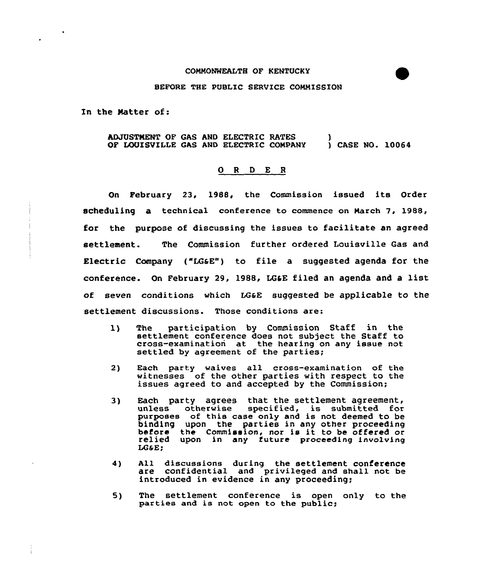## COMMONWEALTH OF KENTUCKY

## BEFORE THE PUBLIC SERVICE COMMISSION

In the Natter of:

## hDJOSTNENT OF GAS AND ELECTRIC RATES OF LOUISVILLE GAS AND ELECTRIC COMPANY ) ) CASE NO. 10064

## 0 <sup>R</sup> <sup>D</sup> E <sup>R</sup>

On February 23, 1988, the Commission issued its Order scheduling a technical conference to commence on March 7, 1988, for the purpose of discussing the issues to facilitate an agreed settlement. The Commission further ordered Louisville Qas and Electric Company ("LG&E") to file a suggested agenda for the conference. On February 29, 1988, LQ&E filed an agenda and <sup>a</sup> list of seven conditions which LG&E suggested be applicable to the settlement discussions. Those conditions are:

- 1) The participation by Commission Staff in the settlement conference does not subject the Staff to cross-examination at the hearing on any issue not settled by agreement of the parties;
- 2) Each party waives all cross-examination of the witnesses of the other parties with respect to the issues agreed to and accepted by the Commission;
- 3) Each party agrees that the settlement agreement, Each party agrees that the sectrement agreement, purposes of this case only and is not deemed to be binding upon the parties in any other proceeding<br>before the Commission, nor is it to be offered or<br>relied upon in any future proceeding involving LG&E;
- 4) All discussions during the settlement conference are confidential and privileged and shall not be introduced in evidence in any proceeding;
- 5) The settlement conference is open only to the parties and is not open to the public;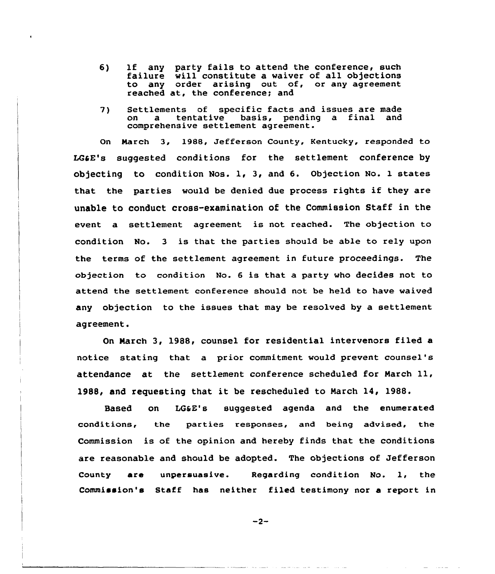- 6) lf any party fails to attend the conference, such failure will constitute a waiver of all objections to any order arising out of, or any agreement reached at, the conference; and
- 7) Settlements of specific facts and issues are made basis, pending a final comprehensive settlement agreement.

On March 3, 1988, Jefferson County, Kentucky, responded to LCaE's suggested conditions for the settlement conference by objecting to condition Nos. 1, 3, and 6. objection No. 1 states that the parties would be denied due process rights if they are unable to conduct cross-examination of the Commission Staff in the event a settlement agreement is not reached. The objection to condition No. <sup>3</sup> is that the parties should be able to rely upon the terms of the settlement agreement in future proceedings. The objection to condition No. <sup>6</sup> is that. a party who decides not to attend the settlement conference should not be held to have waived any objection to the issues that may be resolved by a settlement agreement.

On March 3, 1988, counsel for residential intervenors filed a notice stating that a prior commitment would prevent counsel's attendance at the settlement conference scheduled for March 11, 1988, and requesting that it be rescheduled to March 14, 1988.

Based on LOSE's suggested agenda and the enumerated conditions, the parties responses, and being advised, the Commission is of the opinion and hereby finds that the conditions are reasonable and should be adopted. The objections of Jefferson County are unpersuasive. Regarding condition No. 1, the Commission's Staff has neither filed testimony nor a report in

$$
-2-
$$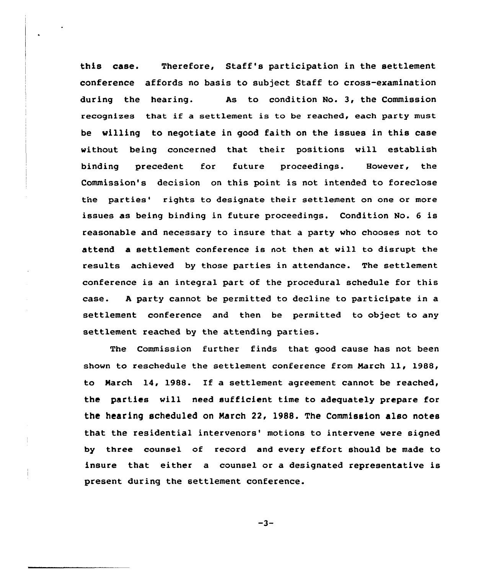this case. Therefore, Staff's participation in the settlement conference affords no basis to subject Staff to cross-examination during the hearing. As to condition No. 3, the Commission recognizes that if a settlement is to be reached, each party must be willing to negotiate in good faith on the issues in this case without being concerned that their positions will establish binding precedent for future proceedings. However, the Commission's decision on this point is not intended to foreclose the parties' rights to designate their settlement on one or more issues as being binding in future proceedings. Condition No. <sup>6</sup> is reasonable and necessary to insure that a party who chooses not to attend a settlement conference is not then at will to disrupt the results achieved by those parties in attendance. The settlement conference is an integral part of the procedural schedule for this case. <sup>A</sup> party cannot be permitted to decline to participate in a settlement conference and then be permitted to object to any settlement reached by the attending parties.

The Commission further finds that good cause has not been shown to reschedule the settlement conference from March ll, 19BB, to March 14, 1988. If a settlement agreement cannot be reached, the parties will need sufficient time to adequately prepare for the hearing scheduled on Narch 22, 198S. The Commission also notes that the residential intervenors' motions to intervene were signed by three counsel of record and every effort should be made to insure that either a counsel or a designated representative is present during the settlement conference.

 $-3-$